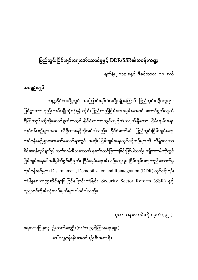## ပြည်တွင်းငြိမ်းချမ်းရေးဖော်ဆောင်မှုနှင့် DDR/SSR၏အခန်းကဏ္ဍ

ရက်စွဲ၊ ၂၀၁၈ ခုနှစ်၊ ဒီဇင်ဘာလ ၁၀ ရက်

## အကျဉ်းချုပ်

ကမ္ဘာ့နိုင်ငံအချို့တွင် အကြောင်းရင်းခံအမျိုးမျိုးကြောင့် ပြည်တွင်းပဋိပက္ခများ ဖြစ်ပွားကာ နည်းလမ်းမျိုးစုံသုံး၍ တိုင်းပြည်တည်ငြိမ်အေးချမ်းအောင် ဆောင်ရွက်လျက် ရှိကြသည်။ထိုသို့ဆောင်ရွက်ရာတွင် နိုင်ငံတကာတွင်ကျင့်သုံးလျက်ရှိသော ငြိမ်းချမ်းရေး လုပ်ငန်းစဉ်များအား သိရှိထားရန်လိုအပ်ပါသည်။ နိုင်ငံတော်၏ ပြည်တွင်းငြိမ်းချမ်းရေး လုပ်ငန်းစဉ်များအားဖော်ဆောင်ရာတွင် အဆိုပါငြိမ်းချမ်းရေးလုပ်ငန်းစဉ်များကို သိရှိလေ့လာ နိုင်စေရန်ရည်ရွယ်၍ လက်လှမ်းမီသလောက် စုစည်းတင်ပြထားခြင်းဖြစ်ပါသည်။ ဤစာတမ်းတိုတွင် ငြိမ်းချမ်းရေး၏အဓိပ္ပါယ်ဖွင့်ဆိုချက်၊ ငြိမ်းချမ်းရေး၏ယဉ်ကျေးမှု၊ ငြိမ်းချမ်းရေးတည်ဆောက်မှု ŀ လုပ်ငန်းစဉ်များ၊ Disarmament, Demobilizaion and Reintegration (DDR) လုပ်ငန်းစဉ်၊ လုံခြုံရေးကဏ္ဍဆိုင်ရာပြုပြင်ပြောင်းလဲခြင်း Security Sector Reform  $(SSR)$  နှင့် ပညာရှင်တို့၏သုံးသပ်ချက်များပါဝင်ပါသည်။

သုတေသနစာတမ်းတိုအမှတ် $( \, \varphi \, | \, )$ 

ရေးသားပြုစုသူ- ဦးထက်ဆွေဦး (လ/ထ ညွှန်ကြားရေးမှူး) ဒေါ်သန္တာစိုးစိုးအောင် (ဦးစီးအရာရှိ)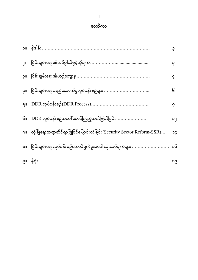#### မ

|                   |                                                                        | ၃  |
|-------------------|------------------------------------------------------------------------|----|
| $\mathbf{u}$      |                                                                        | ၃  |
| <b>IIÇ</b>        |                                                                        | ၄  |
| ÇII               |                                                                        | િ  |
| ၅။                |                                                                        | ?  |
| ၆။                |                                                                        | ၁၂ |
| $2^{\frac{1}{2}}$ | လုံခြုံရေးကဏ္ဍဆိုင်ရာပြုပြင်ပြောင်းလဲခြင်း(Security Sector Reform-SSR) | рc |
| ၈။                |                                                                        | ၁၆ |
|                   |                                                                        | ၁၉ |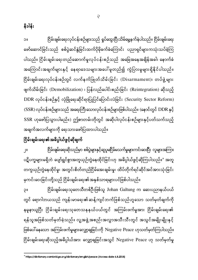၃။ ငြိမ်းချမ်းရေးသုတေသီတစ်ဦးဖြစ်သူ Johan Galtung က ဆေးပညာနယ်ပယ် တွင် ရောဂါဘယသည် ကျန်းမာရေး၏ဆန့်ကျင်ဘက်ဖြစ်သည်ဟူသော သတ်မှတ်ချက်ကို နမူနာယူပြီး ငြိမ်းချမ်းရေးသုတေသနနယ်ပယ်တွင် အကြမ်းဖက်မှုအား ငြိမ်းချမ်းရေး၏ ရန်သူအဖြစ်သတ်မှတ်ခဲ့သည်။ လူ့အဖွဲ့အစည်းအလွှာအသီးသီးတွင် အသွင်အမျိုးမျိုးနှင့် ဖြစ်ပေါ် နေသော အကြမ်းဖက်မှုများလျှော့ချခြင်းကို Negative Peace ဟုသတ်မှတ်ကြပါသည်။ ငြိမ်းချမ်းရေးဆိုသည့်အဓိပ္ပါယ်အား လျှော့ချခြင်းအသွင် Negative Peace ဟု သတ်မှတ်မှု

ငြိ<mark>မ်း</mark>ချမ်းရေး၏အဓိပ္ပါယ်ဖွင့်ဆိုချက် ĺ ၂။ ငြိမ်းချမ်းရေးဆိုသည်မှာ စစ်ပွဲများနှင့်ဆူပူမငြိမ်မသက်မှုများကင်းဝေးပြီး လူများအကြား ပဋိပက္ခများမရှိဘဲ ပျော်ရွှင်စွာအတူယှဉ်တွဲနေထိုင်ခြင်းဟု အဓိပ္ပါယ်ဖွင့်ဆိုကြပါသည်။° အတူ တကွယှဉ်တွဲနေထိုင်မှု၊ အတွင်းစိတ်တည်ငြိမ်အေးချမ်းမှု၊ ထိပ်တိုက်ရင်ဆိုင်အင်အားသုံးခြင်း မှကင်းဝေးခြင်းတို့သည် ငြိမ်းချမ်းရေး၏အနှစ်သာရများပင်ဖြစ်ပါသည်။

အချက်အလက်များကို ရေးသားဖော်ပြထားပါသည်။

၁။ ငြိမ်းချမ်းရေးလုပ်ငန်းစဉ်များသည် ရှုပ်ထွေးပြီးသိမ်မွေ့နက်နဲပါသည်။ ငြိမ်းချမ်းရေး ဖော်ဆောင်ခြင်းသည် စစ်ပွဲဆင်နွဲခြင်းထက်ပိုမိုခက်ခဲကြောင်း ပညာရှင်များကသုံးသပ်ခဲ့ကြ ပါသည်။ ငြိမ်းချမ်းရေးတည်ဆောက်မှုလုပ်ငန်းစဉ်သည် အခြေအနေအချိန်အခါ၊ နောက်ခံ အကြောင်းအချက်များနှင့် နေရာဒေသများအပေါ်မူတည်၍ ကွဲပြားမှုများရှိနိုင်ပါသည်။ ငြိမ်းချမ်းရေးလုပ်ငန်းစဉ်တွင် လက်နက်ဖြုတ်သိမ်းခြင်း (Disarmament)၊ တပ်ဖွဲ့များ ဖျက်သိမ်းခြင်း (Demobilization) ၊ ပြန်လည်ပေါင်းစည်းခြင်း (Reintegration) ဆိုသည့် DDR လုပ်ငန်းစဉ်နှင့် လုံခြုံရေးဆိုင်ရာပြုပြင်ပြောင်းလဲခြင်း (Security Sector Reform) (SSR) လုပ်ငန်းစဉ်များသည် အရေးကြီးသောလုပ်ငန်းစဉ်များဖြစ်ပါသည်။ (နောင်တွင် DDR နှင့် SSR ဟုဖော်ပြသွားပါမည်။) ဤစာတမ်းတိုတွင် အဆိုပါလုပ်ငန်းစဉ်များနှင့်ပတ်သက်သည့်

<sup>1</sup> 1 https://dictionary.cambridge.org/dictionary/english/peace (Access date 6.8.2018)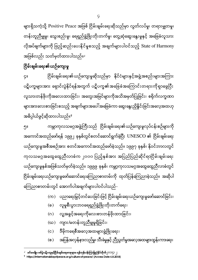များရှိသကဲ့သို့ Positive Peace အဖြစ် ငြိမ်းချမ်းရေးဆိုသည်မှာ လွတ်လပ်မှု၊ တရားမျှတမှု၊ တန်းတူညီမျှမှု၊ သွေးစည်းမှု၊ ရေရှည်ဖွံ့ဖြိုးတိုးတက်မှု၊ တွေ့ဆုံဆွေးနွေးမှုနှင့် အခြေခံလူသား လိုအပ်ချက်များကို ဖြည့်ဆည်းပေးနိုင်မှုစသည့် အချက်များပါဝင်သည့် State of Harmony အဖြစ်လည်း သတ်မှတ်ထားပါသည်။<sup>၂</sup>

#### ငြိမ်းချမ်းရေး၏ယဉ်ကျေးမှု ĺ

ငြိမ်းချမ်းရေး၏ယဉ်ကျေးမှုဆိုသည်မှာ နိုင်ငံများနှင့်အဖွဲ့အစည်းများအကြား ၄ ပဋိပက္ခများအား ရှောင်လွဲနိုင်ရန်အတွက် ပဋိပက္ခ၏အခြေခံအကြောင်းတရားကိုရှာဖွေပြီး လူသားတန်ဖိုးကိုအလေးထားခြင်း၊ အတွေးအမြင်များကိုအသိအမှတ်ပြုခြင်း၊ စရိုက်လက္ခဏာ များအားလေးစားခြင်းစသည့် အချက်များအပေါ် အခြေခံကာ ဆွေးနွေးညှိနှိုင်းခြင်းအလေ့အထဟု အဓိပ္ပါယ်ဖွင့်ဆိုထားပါသည်။<sup>၃</sup>

၅။ ကမ္ဘာကုလသမဂ္ဂအဖွဲ့ကြီးသည် ငြိမ်းချမ်းရေး၏ယဉ်ကျေးမှုလုပ်ငန်းစဉ်များကို အကောင်အထည်ဖော်ရန် ၁၉၉၂ ခုနှစ်တွင်စတင်ဆောင်ရွက်ခဲ့ပြီး UNESCO ၏ ငြိမ်းချမ်းရေး ယဉ်ကျေးမှုအစီအစဉ်အား စတင်အကောင်အထည်ဖော်ခဲ့သည်။ ၁၉၉၇ ခုနှစ်၊ နိုဝင်ဘာလတွင် ကုလသမဂ္ဂအထွေထွေညီလာခံက ၂၀၀၀ ပြည့်နှစ်အား အပြည်ပြည်ဆိုင်ရာငြိမ်းချမ်းရေး ယဉ်ကျေးမှုနှစ်အဖြစ်သတ်မှတ်ခဲ့သည်။ ၁၉၉၉ ခုနှစ်၊ ကမ္ဘာ့ကုလသမဂ္ဂအထွေထွေညီလာခံတွင် ငြိမ်းချမ်းရေးယဉ်ကျေးမှုဖော်ဆောင်ရေးကြေညာစာတမ်းကို ထုတ်ပြန်ကြေညာခဲ့သည်။ အဆိုပါ ŀ ကြေညာစာတမ်းတွင် အောက်ပါအချက်များပါဝင်ပါသည်-

- (က) ပညာရေးမြှင့်တင်ပေးခြင်းဖြင့် ငြိမ်းချမ်းရေးယဉ်ကျေးမှုဖော်ဆောင်ခြင်း၊
- (ခ) လူမှုစီးပွားဘဝရေရှည်ဖွံ့ဖြိုးတိုးတက်ရေး၊
- (ဂ) လူ့အခွင့်အရေးကိုလေးစားတန်ဖိုးထားခြင်း၊
- (ဃ) ကျား/မတန်းတူညီမျှမှုရှိခြင်း၊
- (င) ဒီမိုကရေစီအလေ့အထများဖွံ့ဖြိုးရေး၊
- (စ) အပြန်အလှန်နားလည်မှု၊ သီးခံမှုနှင့် ညီညွတ်မှုအလေ့အထများထွန်းကားရေး၊

**.** 

<sup>2</sup> ၂၀၁၄ ၂

<sup>&</sup>lt;sup>2</sup> https://internationaldayofpeace.org/culture-of-peace/ (Access Date 6.8.2018)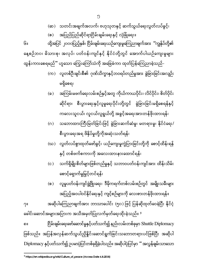ခေါင်းဆောင်အများအပြားက အသိအမှတ်ပြုလက်မှတ်ရေးထိုးခဲ့သည်။ <sup>၄</sup> ၈။ ငြိမ်းချမ်းရေးဖော်ဆောင်မှုနှင့်ပတ်သက်၍ နည်းလမ်းတစ်ခုမှာ Shuttle Diplomacy ဖြစ်သည်။ အပြန်အလှန်ဆက်သွယ်ညှိနှိုင်းဆောင်ရွက်ခြင်းသဘောတရားပင်ဖြစ်ပြီး အဆိုပါ Diplomacy နှင့်ပတ်သက်၍ ဥပမာပုံပြင်တစ်ခုရှိခဲ့ပါသည်။ အဆိုပါပုံပြင်မှာ " အလွန်ချမ်းသာသော

အပြည့်အဝပါဝင်နိုင်ရေးနှင့် ကျင့်စဉ်များကို လေးစားတန်ဖိုးထားရန်။ ၇။ အဆိုပါကြေညာချက်အား ဘာသာပေါင်း (၅၀) ဖြင့် ပြန်ဆိုထုတ်ဝေခဲ့ပြီး နိုင်ငံ့

- စောင့်ရှောက်မှုမြှင့်တင်ရန်၊ (စ) လူမှုပတ်ဝန်းကျင်ဖွံ့ဖြိုးရေး၊ ဒီမိုကရက်တစ်လမ်းစဉ်တွင် အမျိုးသမီးများ
- နှင့် တစ်ဖက်စကားကို အလေးထားနားထောင်ရန်၊ (c ) သက်ရှိမျိုးစိတ်များဖြစ်တည်မှုနှင့် သဘာဝပတ်ဝန်းကျင်အား ထိန်းသိမ်း
- စီးပွားရေးအရ ဖိနိုပ်မှုတို့ကိုအဆုံးသတ်ရန်၊ (ဃ) လွတ်လပ်စွာထုတ်ဖော်ခွင့်၊ ယဉ်ကျေးမှုကွဲပြားခြင်းတို့ကို စောင့်ထိန်းရန်
- ဆိုင်ရာ၊ စီးပွားရေးနှင့်လူမှုရေးပိုင်းတို့တွင် ခွဲခြားခြင်းမရှိစေရန်နှင့် ကလေးသူငယ်၊ လူငယ်လူရွယ်တို့ အခွင့်အရေးအားတန်ဖိုးထားရန်၊ (ဂ) သဘောထားကြီးမြတ်ခြင်းဖြင့် ခွဲခြားဆက်ဆံမှု၊ မတရားမှု၊ နိုင်ငံရေး/
- မရှိစေရ၊ (ခ) အကြမ်းမဖက်ရေးလမ်းစဉ်နှင့်အတူ ကိုယ်ကာယပိုင်း၊ လိင်ပိုင်း၊ စိတ်ပိုင်း

နေ့စဉ်ဘပ၊ မိသားစု၊ အလုပ်၊ ပတ်ဝန်းကျင်နှင့် နိုင်ငံတို့တွင် အောက်ပါယဉ်ကျေးမှုများ ထွန်းကားစေရမည်" ဟူသော ကြွေးကြော်သံကို အခြေခံကာ ထုတ်ပြန်ကြေညာခဲ့သည်-(က) လူတစ်ဦးချင်းစီ၏ ဂုဏ်သိက္ခာနှင့်ဘဝရပ်တည်မှုအား ခွဲခြားခြင်းအလျဉ်း

(ၜ) အပြည်ပြည်ဆိုင်ရာငြိမ်းချမ်းရေးနှင့် လုံခြုံရေး။ ၆။ ထို့အပြင် ၂၀၀၀ပြည့်နှစ်၊ ငြိမ်းချမ်းရေးယဉ်ကျေးမှုကြေညာချက်အား "ကျွန်ုပ်တို့၏

(ဆ) သတင်းအချက်အလက်၊ ဗဟုသုတနှင့် ဆက်သွယ်ရေးလွတ်လပ်ခွင့်၊

<sup>1</sup> <sup>9</sup> https://en.wikipedia.org/wiki/Culture\_of\_peace (Access Date 6.8.2018)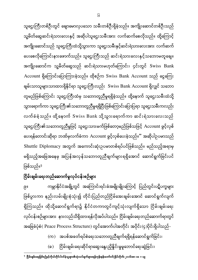# 5 ၂၀၁၆ ၁၈ + ၁၉

- (ခ) ငြိမ်းချမ်းရေးဆိုင်ရာဆွေးနွေးညှိနှိုင်းမှုမူဘောင်ရေးဆွဲခြင်း၊
- $\left( \infty \right)$  အပစ်အခတ်ရပ်စဲရေးသဘောတူညီချက်ရရှိရန်ဆောင်ရွက်ခြင်း၊

ကမ္ဘာနိုင်ငံအချို့တွင် အကြောင်းရင်းခံအမျိုးမျိုးကြောင့် ပြည်တွင်းပဋိပက္ခများ ၉ ဖြစ်ပွားကာ နည်းလမ်းမျိုးစုံသုံး၍ တိုင်းပြည်တည်ငြိမ်အေးချမ်းအောင် ဆောင်ရွက်လျက် ရှိကြသည်။ ထိုသို့ဆောင်ရွက်ရာ၌ နိုင်ငံတကာတွင်ကျင့်သုံးလျက်ရှိသော ငြိမ်းချမ်းရေး လုပ်ငန်းစဉ်များအား နားလည်သိရှိထားရန်လိုအပ်ပါသည်။ ငြိမ်းချမ်းရေးတည်ဆောက်ရာတွင် အခြေခံပုံစံ( Peace Process Structure) တွင်အောက်ပါအတိုင်း အပိုင်း(၄)ပိုင်းရှိပါသည်-

# ငြိမ်းချမ်းရေးတည်ဆောက်မှုလုပ်ငန်းစဉ်မျာ<mark>း</mark>

သူဌေးကြီးတစ်ဦးတွင် ချောမောလှပသော သမီးတစ်ဦးရှိခဲ့သည်။ အကျိုးဆောင်တစ်ဦးသည် သူ့မိတ်ဆွေဆင်းရဲသားလေးနှင့် အဆိုပါသူဌေးသမီးအား လက်ဆက်စေလိုသည်။ ထို့ကြောင့် အကျိုးဆောင်သည် သူဌေးကြီးထံသို့သွားကာ သူဌေးသမီးနှင့်ဆင်းရဲသားလေးအား လက်ဆက် ပေးစေလိုကြောင်းနားဖောက်သည်။ သူဌေးကြီးသည် ဆင်းရဲသားလေးနှင့်သဘောမတူချေ။ အကျိုးဆောင်က သူ့မိတ်ဆွေသည် ဆင်းရဲသားမဟုတ်ကြောင်း၊ ၄င်းတွင် Swiss Bank  $Account$  ရှိကြောင်းပြောကြားခဲ့သည်။ ထိုစဉ်က Swiss Bank  $Account$  သည် ငွေကြေး ချမ်းသာသူများသာထားရှိနိုင်ရာ သူဌေးကြီးလည်း Swiss Bank Account ရှိလျှင် သဘော တူမည်ဖြစ်ကြောင်း သူဌေးကြီးထံမှ သဘောတူညီမှုရရှိခဲ့သည်။ ထို့နောက် သူဌေးသမီးထံသို့ သွားရောက်ကာ သူဌေးကြီး၏သဘောတူညီမှုရရှိပြီးဖြစ်ကြောင်းပြောပြရာ သူဌေးသမီးကလည်း လက်ခံခဲ့သည်။ ထို့နောက် Swiss Bank သို့သွားရောက်ကာ ဆင်းရဲသားလေးသည် သူဌေးကြီး၏သဘောတူညီမှုဖြင့် သူဌေးသားမက်ဖြစ်တော့မည်ဖြစ်သဖြင့် Account ဖွင့်လှစ် ပေးရန်တောင်းဆိုရာ ဘဏ်မှလက်ခံကာ Account ဖွင့်လှစ်ပေးခဲ့သည်။'' အဆိုပါဥပမာသည် Shuttle Diplomacy အတွက် အကောင်းဆုံးဥပမာတစ်ရပ်ပင်ဖြစ်သည်။ မည်သည့်အရာမှ မရှိသည့်အခြေအနေမှ အပြန်အလှန်သဘောတူညီချက်များရရှိအောင် ဆောင်ရွက်ခြင်းပင် ဖြစ်သည်။<sup>၅</sup>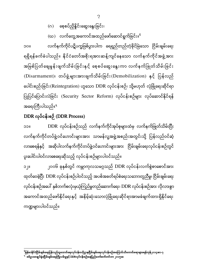- (ဂ) စေ့စပ်ညှိနှိုင်းဆွေးနွေးခြင်း၊
- (ဃ) လက်တွေ့အကောင်အထည်ဖော်ဆောင်ရွက်ခြင်း။<sup>ရေ</sup>

၁၀။ လက်နက်ကိုင်ပဋိပက္ခဖြစ်ပွားပါက ရေရှည်တည်တံ့ခိုင်မြဲသော ငြိမ်းချမ်းရေး ရရှိရန်ခက်ခဲပါသည်။ နိုင်ငံတော်အစိုးရအားဆန့်ကျင်နေသော လက်နက်ကိုင်အဖွဲ့အား အမြစ်ပြတ်ချေမှုန်းဖျက်သိမ်းခြင်းနှင့် စေ့စပ်ဆွေးနွေးကာ လက်နက်ဖြုတ်သိမ်းခြင်း  $(Disarmament)$ ၊ တပ်ဖွဲ့များအားဖျက်သိမ်းခြင်း $(Demobilization)$  နှင့် ပြန်လည် ပေါင်းစည်းခြင်း(Reintegration) ဟူသော DDR လုပ်ငန်းစဉ်၊ သို့မဟုတ် လုံခြုံရေးဆိုင်ရာ ပြုပြင်ပြောင်းလဲခြင်း (Security Sector Reform) လုပ်ငန်းစဉ်များ လုပ်ဆောင်နိုင်ရန် အရေးကြီးပါသည်။<sup>ရ</sup>

### DDR လ (DDR Process)

၁၁။ DDR လုပ်ငန်းစဉ်သည် လက်နက်ကိုင်အုပ်စုများထံမှ လက်နက်ဖြုတ်သိမ်းပြီး လက်နက်ကိုင်တပ်ဖွဲ့ဝင်ဟောင်းများအား သာမန်လူ့အဖွဲ့အစည်းအတွင်းသို့ ပြန်လည်ဝင်ဆံ့ လာစေရန်နှင့် အဆိုပါလက်နက်ကိုင်တပ်ဖွဲ့ဝင်ဟောင်းများအား ငြိမ်းချမ်းရေးလုပ်ငန်းစဉ်တွင် ပူးပေါင်းပါဝင်လာစေရေးဆိုသည့် လုပ်ငန်းစဉ်များပါဝင်သည်။

၁၂။ ၂၀၀၆ ခုနှစ်တွင် ကမ္ဘာကုလသမဂ္ဂသည်  ${\rm DDR}$  လုပ်ငန်းလက်စွဲစာစောင်အား ထုတ်ဝေခဲ့ပြီး DDR လုပ်ငန်းစဉ်ပါဝင်သည့် အပစ်အခတ်ရပ်စဲရေးသဘောတူညီမှု၊ ငြိမ်းချမ်းရေး လုပ်ငန်းစဉ်အပေါ် နှစ်ဘက်စလုံးမှယုံကြည်မှုတည်ဆောက်ရေး၊ DDR လုပ်ငန်းစဉ်အား လိုလားစွာ အကောင်အထည်ဖော်နိုင်ရေးနှင့် အနိမ့်ဆုံးသောလုံခြုံရေးဆိုင်ရာအာမခံချက်ထားရှိနိုင်ရေး ကဏ္ဍများပါဝင်သည်။

<sup>&</sup>lt;sup>်</sup>မြန်မာနိုင်ငံငြိမ်းချမ်းရေးပြန်လည်ထူထောင်ရေးလုပ်ငန်းဗဟိုဌာန၊ငြိမ်းချမ်းရေးလုပ်ငန်းစဉ်အကြောင်းသိကောင်းစရာများ။ရန်ကုန်၊၂၀၁၄၊စာ-၇ <sup>۹</sup> စစ်ဥပဒေချုပ်ရုံး။ငြိမ်းချမ်းရေးကြိုးပမ်းမှုနှင့် DDRလုပ်ငန်းစဉ်။နေပြည်တော်၊စက်တင်ဘာ ၂၀၁၅။၈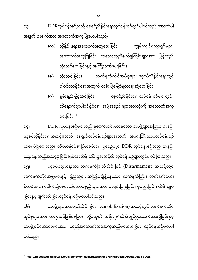တစ်ရပ်ဖြစ်ပါသည်။ တီမောနိုင်ငံ၏ငြိမ်းချမ်းရေးဖြစ်စဉ်တွင် DDR လုပ်ငန်းစဉ်သည် ကနဦး ဆွေးနွေးသည့်အဆင့်မှ ငြိမ်းချမ်းရေးထိန်းသိမ်းမှုအဆင့်ထိ လုပ်ငန်းစဉ်များတွင်ပါဝင်ခဲ့ပါသည်။ ၁၅။ စစ္စစပ်ဆွေးနွေးကာ လက်နက်ဖြုတ်သိမ်းခြင်း(Disarmament) အဆင့်တွင် လက်နက်ကိုင်အဖွဲ့များနှင့် ပြည်သူများအကြားပျံနှံ့နေသော လက်နက်ကြီး၊ လက်နက်ငယ်၊ ခဲယမ်းများ၊ ပေါက်ကွဲစေတတ်သောပစ္စည်းများအား စာရင်းပြုစုခြင်း၊ စုစည်းခြင်း၊ ထိန်းချုပ် ခြင်းနှင့် ဖျက်ဆီးခြင်းလုပ်ငန်းစဉ်များပါဝင်သည်။ ၁၆။ တပ်ဖွဲ့များအားဖျက်သိမ်းခြင်း(Demobilization) အဆင့်တွင် လက်နက်ကိုင် အုပ်စုများအား တရားဝင်ဖြစ်စေခြင်း၊ သို့မဟုတ် အစိုးရ၏ထိန်းချုပ်မှုအောက်ထားရှိခြင်းနှင့် တပ်ဖွဲ့ဝင်ဟောင်းများအား ရေတိုအထောက်အပံ့အကူအညီများပေးခြင်း လုပ်ငန်းစဉ်များပါ ဝင်သည်။

၁၄။ DDR လုပ်ငန်းစဉ်များသည် နှစ်ဖက်တင်းမာနေသော တပ်ဖွဲ့များအကြား ကနဦး

စေ့စပ်ညှိနှိုင်းရေးအဆင့်မှသည် ရေရှည်လုပ်ငန်းစဉ်များအတွက် အရေးကြီးသောလုပ်ငန်းစဉ်

- ပါဝင်လာနိုင်ရေးအတွက် လမ်းပြမြေပုံများရေးဆွဲပေးခြင်း၊ (ဂ) **စွမ်းရည်မြှင့်တင်ခြင်း**။ စစ့စပ်ညှိနှိုင်းရေးလုပ်ငန်းစဉ်များတွင် ထိရောက်စွာပါဝင်နိုင်ရေး အဖွဲ့အစည်းများအားလုံးကို အထောက်အကူ ပေးခြင်း။°
- အထောက်အကူပြုခြင်း၊ သဘောတူညီချက်မူကြမ်းများအား ပြန်လည် သုံးသပ်ပေးခြင်းနှင့် အကြံဉာဏ်ပေးခြင်း၊ (ခ) **သုံးသပ်ခြင်း**။ လက်နက်ကိုင်အုပ်စုများ စေ့စပ်ညှိနှိုင်းရေးတွင်
- (က) ညှိနှိုင်းရေးအထောက်အကူပေးခြင်း။ ကျွမ်းကျင်ပညာရှင်များ

၁၃။ DDRလုပ်ငန်းစဉ်သည် စေ့စပ်ညှိနိူင်းရေးလု အချက်(၃)ချက်အား အထောက်အကူပြုပေးပါသည်-

<sup>1</sup>  $\bullet$ https://peacekeeping.un.org/en/disarmament-demobilization-and-reintegration (Access Date 6.8.2018)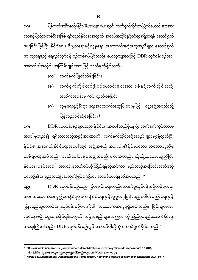1

၄င်းတို့၏ရေရှည်အကျိုးအတွက်ဖြစ်ကြောင်း အာမခံပေးရန်လိုအပ်သည်။ <sup>၁၀</sup> ၁၉။ DDR လုပ်ငန်းစဉ်သည် ငြိမ်းချမ်းရေးတည်ဆောက်မှုလုပ်ငန်းစဉ်တစ်ရပ်လုံး အား အထောက်အကူပြုပေးနိုင်ရုံမျှမက နိုင်ငံရေးနှင့်လူမှုရေးပြန်လည်ပေါင်းစည်းရေးနှင့် ပြန်လည်ထူထောင်ရေးလုပ်ငန်းစဉ်များကိုပါ အထောက်အကူရရှိစေပါသည်။ ငြိမ်းချမ်းရေး လုပ်ငန်းစဉ် ရှေ့ဆက်နိုင်ရန်အတွက် အဖွဲ့အစည်းများအကြား ယုံကြည်မှုတည်ဆောက်နိုင်ရန် အရေးကြီးပါသည်။ DDR လုပ်ငန်းစဉ်တွင် အောက်ပါတို့ကို ဆောင်ရွက်နိုင်ပါသည်-ိ°

ပြန်လည်ဝင်ဆံ့စေခြင်း။<sup>€</sup> ၁၈။ DDR လုပ်ငန်းစဉ်များသည် နိုင်ငံရေးအပေါ် တည်မှီနေပြီး လက်နက်ကိုင်ထားမှု အပေါ် မူတည်၍ ရရှိထားသည့်အခွင့်အာဏာကို လက်နက်ကိုင်အဖွဲ့အစည်းများမှစွန့်လွှတ်ပြီး နိုင်ငံ၏အနာဂတ်နိုင်ငံရေးအပေါ်တွင် အဖွဲ့အစည်းအားလုံး၏ခိုင်မာသော သဘောတူညီမှု တစ်ရပ်လိုအပ်သည်။ ဘက်ပေါင်းစုံမှအဖွဲ့အစည်းများကလည်း ထိုသို့သဘောတူညီပြီး နိုင်ငံရေးစနစ်အပေါ် အားလုံးမှသက်ဝင်ယုံကြည်ရန်လိုအပ်ကာ မည်သည့်အပြောင်းအလဲမဆို

- အသိုက်အဝန်းမှ ကင်းလွတ်စေခြင်း၊ (ဂ) လူမှုရေးနှင့်စီးပွားရေးအထောက်အကူပြုပေးမှုဖြင့် လူ့အဖွဲ့အစည်းသို့
- (ခ) လက်နက်ကိုင်တပ်ဖွဲ့ဝင်ဟောင်းများအား စစ်နှင့်သက်ဆိုင်သည့်
- (က) လက်နက်ဖြုတ်သိမ်းခြင်း၊

၁၇ လ (Reintegration) လ သာမန်ပြည်သူတစ်ဦးအဖြစ် ရပ်တည်နိုင်ရေးအတွက် အလုပ်အကိုင်နှင့်ဝင်ငွေရရှိစေရန် ဆောင်ရွက် ပေးခြင်းဖြစ်ပြီး နိုင်ငံရေး၊ စီးပွားရေးနှင့်လူမှုရေး အထောက်အပံ့အကူအညီများ ဆောင်ရွက် ပေးသွားရမည့် ရေရှည်လုပ်ငန်းစဉ်တစ်ရပ်ဖြစ်သည်။ ယေဘုယျအားဖြင့် DDR လုပ်ငန်းစဉ်အား အောက်ပါအတိုင်း အကြမ်းဖျင်းအားဖြင့် သတ်မှတ်နိုင်သည်-

 $^{\ell}$  https://unamid.unmissions.org/disarmament-demobilization-and-reintegration-ddr (Access date 6.8.2018)

<sup>&</sup>lt;sup>၁၀</sup> Kim Jolliffe ၊ မြန်မာနိုင်ငံတွင်လုံခြုံရေးကဏ္ဍပေါင်းစည်းရေး၊ Safe World၊ ၂၀၁၇၊စာ ၄၄

<sup>&</sup>lt;sup>33</sup> Nicole Ball, Disarmament, Demobilized and Reintegration, Netherland Institute of International Relations, 2006,  $\infty$  - 4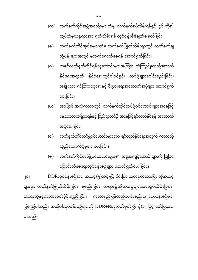၂၀။ DDRလုပ်ငန်းစဉ်အား အဆင့်(၅)ဆင့်ဖြင့် ပိုင်းခြားသတ်မှတ်ထားပြီး ထိုအဆင့် များမှာ လက်နက်ဖြုတ်သိမ်းခြင်း၊ စုစည်းခြင်း၊ တရားစွဲဆိုထားမှုများအားရုပ်သိမ်းခြင်း၊ ကာလတိုနှင့်ကာလလတ်ပံ့ပိုးကူညီခြင်း၊ ကာလရှည်ပြန်လည်ပေါင်းစည်းရေးလုပ်ငန်းစဉ်များ ဖြစ်ကြပါသည်။ အဆိုပါလုပ်ငန်းစဉ်များကို DDR+Rဟုသတ်မှတ်ပြီး ပုံ(၁) ဖြင့် ဖော်ပြထား ပါသည်-

- ကူညီထောက်ပံ့မှုများပေးခြင်း၊ (စ) လက်နက်ကိုင်တပ်ဖွဲ့ဝင်ဟောင်းများ၏ အမူအကျင့်ဟောင်းများကို ပြုပြင် ပြောင်းလဲစေရေးလုပ်ငန်းစဉ်များ ဆောင်ရွက်ပေးခြင်း။
- အပံ့ပေးခြင်း၊ (င) လက်နက်ကိုင်တပ်ဖွဲ့ဝင်ဟောင်းများဘဝ ရပ်တည်နိုင်ရေးအတွက် ကာလတို
- (ဃ) အပြောင်းအလဲကာလတွင် လက်နက်ကိုင်တပ်ဖွဲ့ဝင်ဟောင်းများအနေဖြင့် နေသားတကျရှိစေရန်နှင့် ပြည်သူတစ်ဦးအနေဖြင့်ရပ်တည်နိုင်ရန် အထောက်
- (ဂ) ယခင်လက်နက်ကိုင်ရန်သူဟောင်းများအကြား ယုံကြည်မှုတည်ဆောက် နိုင်ရေးအတွက် နိုင်ငံရေးတွင်ပါဝင်ခွင့်၊ တပ်ဖွဲ့များပေါင်းစည်းခြင်း၊ အမျိုးသားရင်ကြားစေ့ရေးနှင့် စီးပွားရေးအထောက်အပံ့များ ဆောင်ရွက် ပေးခြင်း၊
- ကွပ်ကဲမှုယန္တရားအားရုတ်သိမ်းရန် လုပ်ငန်းစီမံချက်ချမှတ်ခြင်း၊ (ခ) လက်နက်ကိုင်အုပ်စုများထံမှ လက်နက်ဖြုတ်သိမ်းရာတွင် လက်နက်ချ သုံ့ပန်းများအသွင် မသက်ရောက်စေရန် ဆောင်ရွက်ခြင်း၊
- (က) လက်နက်ကိုင်အဖွဲ့အစည်းများထံမှ လက်နက်ရုပ်သိမ်းရန်နှင့် ၄င်းတို့၏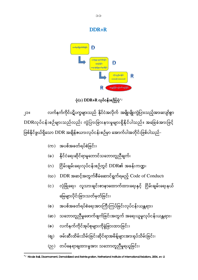- (ည) တပ်နေရာချထားမှုအား သဘောတူညီမှုရယူခြင်း၊
- (ဈ) ဖမ်းဆီးထိမ်းသိမ်းခြင်းဆိုင်ရာအမိန့်များအားရုပ်သိမ်းခြင်း၊
- (ၜ) လက်နက်ကိုင်အုပ်စုများကိုခွဲခြားထားခြင်း၊
- (ဆ) သဘောတူညီမှုဖောက်ဖျက်ခြင်းအတွက် အရေးယူမှုလုပ်ငန်းယန္တရား၊
- မြေများပိုင်းခြားသတ်မှတ်ခြင်း၊ (စ) အပစ်အခတ်ရပ်စဲရေးအားကြီးကြပ်ခြင်းလုပ်ငန်းယန္တရား၊
- (င) လုံခြုံရေး၊ လူသားချင်းစာနာထောက်ထားရေးနှင့် ငြိမ်းချမ်းရေးနယ်
- (ဃ)  $DDR$  အဆင့်အတွက်စီမံဆောင်ရွက်ရမည့်  $Code$  of  $Conduct$
- (ဂ) ငြိမ်းချမ်းရေးလုပ်ငန်းစဉ်တွင် DDR၏ အခန်းကဏ္ဍ၊
- (ခ) နိုင်ငံရေးဆိုင်ရာမူဘောင်သဘောတူညီချက်၊
- $($ က) အပစ်အခတ်ရပ်စဲခြင်း၊

၂၁။ လက်နက်ကိုင်ပဋိပက္ခများသည် နိုင်ငံအလိုက် အမျိုးမျိုးကွဲပြားသည့်အားလျော်စွာ DDRလုပ်ငန်းစဉ်များသည်လည်း ကွဲပြားခြားနားမှုများရှိနိုင်ပါသည်။ အခြေခံအားဖြင့် ဖြစ်နိုင်ဖွယ်ရှိသော DDR အချိန်ဇယားလုပ်ငန်းစဉ်မှာ အောက်ပါအတိုင်းဖြစ်ပါသည်-





DDR+R

 12 Nicole Ball, Disarmament, Demobilized and Reintegration, Netherland Institute of International Relations, 2006, -2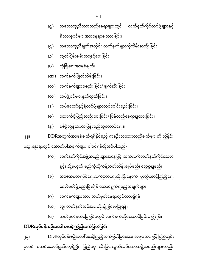DDRလုပ်ငန်းစဉ်အပေါ်စောင့်ကြည့်အကဲဖြတ်ခြင်း ၂၃။ DDRလုပ်ငန်းစဉ်အပေါ် စောင့်ကြည့်အကဲဖြတ်ခြင်းအား အများအားဖြင့် ပြည်တွင်း မှာပင် စတင်ဆောင်ရွက်လေ့ရှိပြီး ပြည်ပမှ သီးခြားလွတ်လပ်သောအဖွဲ့အစည်းများလည်း

- (င) သတ်မှတ်နယ်မြေပြင်ပတွင် လက်နက်ကိုင်ဆောင်ခြင်းမပြုရန်။
- (ဃ) လူ၊ လက်နက်အင်အားတိုးချဲ့ခြင်းမပြုရန်၊
- ကော်မတီဖွဲ့စည်းပြီးချိန် ဆောင်ရွက်ရမည့်အချက်များ၊ (ဂ) လက်နက်များအား သတ်မှတ်နေရာတွင်ထားရှိရန်၊
- ခွင့်၊ သို့မဟုတ် မည်ကဲ့သို့ကန့်သတ်ထိန်းချုပ်မည်၊ လျှော့ချမည်၊ (ခ) အပစ်အခတ်ရပ်စဲရေးလက်မှတ်ရေးထိုးပြီးနောက် ပူးတွဲစောင့်ကြည့်ရေး
- (က) လက်နက်ကိုင်အဖွဲ့အစည်းများအနေဖြင့် ဆက်လက်လက်နက်ကိုင်ဆောင်

ဆွေးနွေးရာတွင် အောက်ပါအချက်များ ပါဝင်ရန်လိုအပ်ပါသည်-

- ၂၂။ DDRအတွက်အာမခံချက်ရရှိနိုင်မည့် ကနဦးသဘောတူညီချက်များကို ညှိနှိုင်း
- (န ) စစ်ပွဲလွန်ကာလပြန်လည်ထူထောင်ရေး။
- (ဓ) ထောက်ပံ့ဖြည့်ဆည်းပေးခြင်း/ ပြန်လည်နေရာချထားခြင်း၊
- (ဒ) တပ်မတော်နှင့်ရဲတပ်ဖွဲ့များတွင်ပေါင်းစည်းခြင်း၊
- (ထ) တပ်ဖွဲ့ဝင်များနှုတ်ထွက်ခြင်း၊
- (တ) လက်နက်များစုစည်းခြင်း/ ဖျက်ဆီးခြင်း၊
- (ဏ) လက်နက်ဖြုတ်သိမ်းခြင်း၊
- (ဎ) လုံခြုံရေးအာမခံချက်၊
- (ဍ) လ
- မိသားစုဝင်များအားနေရာချထားခြင်း၊ (ဌ) သဘောတူညီချက်အတိုင်း လက်နက်များကိုသိမ်းဆည်းခြင်း၊
- (ဋ) သဘောတူညီထားသည့်နေရာများတွင် လက်နက်ကိုင်တပ်ဖွဲ့များနှင့်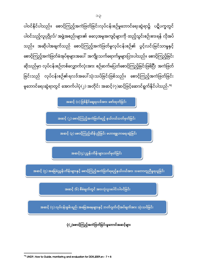ပါဝင်သည့်လူပုဂ္ဂိုလ်/ အဖွဲ့အစည်းများ၏ ဓလေ့အမူအကျင့်များကို ထည့်သွင်းစဉ်းစားရန် လိုအပ် သည်။ အဆိုပါအချက်သည် စောင့်ကြည့်အကဲဖြတ်မှုလုပ်ငန်းစဉ်၏ ပွင့်လင်းမြင်သာမှုနှင့် စောင့်ကြည့်အကဲဖြတ်ခံအုပ်စုများအပေါ် အကျိုးသက်ရောက်မှုများပြားပါသည်။ စောင့်ကြည့်ခြင်း ဆိုသည်မှာ လုပ်ငန်းစဉ်တစ်လျှောက်လုံးအား စဉ်ဆက်မပြတ်စောင့်ကြည့်ခြင်းဖြစ်ပြီး အကဲဖြတ် ခြင်းသည် လုပ်ငန်းစဉ်၏ရလဒ်အပေါ်သုံးသပ်ခြင်းဖြစ်သည်။ စောင့်ကြည့်အကဲဖြတ်ခြင်း မှုဘောင်ရေးဆွဲရာတွင် အောက်ပါပုံ(၂) အတိုင်း အဆင့်(၇)ဆင့်ဖြင့်ဆောင်ရွက်နိုင်ပါသည်-<sup>၃၃</sup>

အဆင့် (၁) ဖြစ်နိုင်ချေရလဒ်အား ဖော်ထုတ်ခြင်း

အဆင့် (၂) စောင့်ကြည့်အကဲဖြတ်မည့် နယ်ပယ်သတ်မှတ်ခြင်း

အဆင့် (၃) စောင့်ကြည့်ထိန်းညှိခြင်း မဟာဗျူဟာရေးဆွဲခြင်း

အဆင့်် $\left($ ၄) ညွှန်းကိန်းများသတ်မှတ်ခြင်း

အဆင့် (၅) အခြေခံညွှန်းကိန်းများနှင့် စောင့်ကြည့်အကဲဖြတ်ရမည့်နယ်ပယ်အား သဘောတူညီမှုရယူခြင်း

အဆင့် (၆) စီမံချက်တွင် အားလုံးပူးပေါင်းပါဝင်ခြင်း

အဆင့်  $(\eta)$  လုပ်ငန်းစွမ်းရည်၊ အခြေအနေများနှင့် ဘတ်ဂျက်လိုအပ်ချက်အား သုံးသပ်ခြင်း

ပုံ(၂)စောင့်ကြည့်အကဲဖြတ်ခြင်းမူဘောင်အဆင့်များ

<sup>1</sup>  $13$  UNDP, How to Guide, monitoring and evaluation for DDR, 2009,  $\infty$  - 7 + 8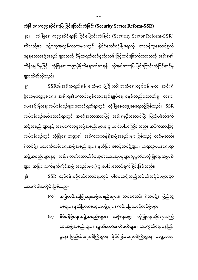## လုံခြုံရေးကဏ္ဍဆိုင်ရာပြုပြင်ပြောင်းလဲခြင်း $(Security\ Sector\ Reform\-SSR)$

၂၄။ လုံခြုံရေးကဏ္ဍဆိုင်ရာပြုပြင်ပြောင်းလဲခြင်း (Security Sector Reform-SSR) ဆိုသည်မှာ ပဋိပက္ခအလွန်ကာလများတွင် နိုင်ငံတော်လုံခြုံရေးကို တာဝန်ယူဆောင်ရွက် နေရသောအဖွဲ့အစည်းများသည် ဒီမိုကရက်တစ်နည်းလမ်းဖြင့်တင်မြောက်ထားသည့် အစိုးရ၏ ထိန်းချုပ်မှုဖြင့် လုံခြုံရေးကဏ္ဍပိုမိုထိရောက်စေရန် လိုအပ်သောပြုပြင်ပြောင်းလဲပြင်ဆင်မှု များကိုဆိုလိုသည်။

၂၅။ SSR၏အဓိကရည်မှန်းချက်မှာ ဖွံ့ဖြိုးတိုးတက်ရေးလုပ်ငန်းများ၊ ဆင်းရဲ မွဲတေမှုလျှော့ချရေး၊ အစိုးရ၏ကောင်းမွန်သောအုပ်ချုပ်ရေးစနစ်တည်ဆောက်မှု၊ တရား ဉပဒေစိုးမိုးရေးလုပ်ငန်းစဉ်များဆောင်ရွက်ရာတွင် လုံခြုံချောမွေ့စေရေးတို့ဖြစ်သည်။  $SSR$ လုပ်ငန်းစဉ်ဖော်ဆောင်ရာတွင် အစဉ်အလာအားဖြင့် အစိုးရမှဦးဆောင်ပြီး ပြည်ပမိတ်ဖက် အဖွဲ့အစည်းများနှင့် အရပ်ဖက်လူမှုအဖွဲ့အစည်းများမှ ပူးပေါင်းပါဝင်ကြပါသည်။ အဓိကအားဖြင့် လုပ်ငန်းစဉ်တွင် လုံခြုံရေးကဏ္ဍ၏ အဓိကတာဝန်ရှိအဖွဲ့အစည်းများဖြစ်သည့် တပ်မတော်၊ ရဲတပ်ဖွဲ့၊ ထောက်လှမ်းရေးအဖွဲ့အစည်းများ၊ နယ်ခြားစောင့်တပ်ဖွဲ့များ၊ တရားဥပဒေရေးရာ အဖွဲ့အစည်းများနှင့် အစိုးရလက်အောက်ခံမဟုတ်သောအုပ်စုများ (ပုဂ္ဂလိကလုံခြုံရေးကုမ္ပဏီ များ၊ အခြားလက်နက်ကိုင်အဖွဲ့ အစည်းများ) ပူးပေါင်းဆောင်ရွက်ခြင်းဖြစ်သည်။

၂၆။ SSR လုပ်ငန်းစဉ်ဖော်ဆောင်ရာတွင် ပါဝင်သင့်သည့်အစိတ်အပိုင်းများမှာ အောက်ပါအတိုင်းဖြစ်သည်-

- (က) **အမြဲတမ်းလုံခြုံရေးအဖွဲ့အစည်းများ**။ တပ်မတော်၊ ရဲတပ်ဖွဲ့၊ ပြည်သူ့ စစ်များ၊ နယ်ခြားစောင့်တပ်ဖွဲ့များ၊ ကမ်းခြေစောင့်တပ်ဖွဲ့များ၊
- (ခ) **စီမံခန့်ခွဲရေးအဖွဲ့အစည်းများ**။ အစိုးရအဖွဲ့၊ လုံခြုံရေးဆိုင်ရာအကြံ ပေးအဖွဲ့အစည်းများ၊ **လွှတ်တော်ကော်မတီများ**၊ ကာကွယ်ရေးဝန်ကြီး ဌာန၊ ပြည်ထဲရေးဝန်ကြီးဌာန၊ နိုင်ငံခြားရေးဝန်ကြီးဌာန၊ ဘဏ္ဍာရေး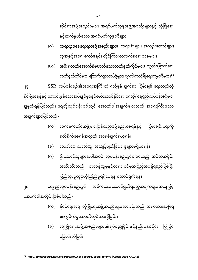- (ခ) လုံခြုံရေးအဖွဲ့ အစည်းများ၏ ရုပ်ဝတ္ထုပိုင်းနှင့်နည်းစနစ်ပိုင်း ပြုပြင် ပြောင်းလဲခြင်း၊
- (က) နိုင်ငံရေးအရ လုံခြုံရေးအဖွဲ့အစည်းများအားလုံးသည် အရပ်သားအစိုးရ ၏ကွပ်ကဲမှုအောက်တွင်ထားရှိ<u>ခ</u>ြင်း၊
- ၂၈။ ရေရှည်လုပ်ငန်းစဉ်တွင် အဓိကထားဆောင်ရွက်ရမည့်အချက်များအနေဖြင့် အောက်ပါအတိုင်းဖြစ်ပါသည်-
- (ဂ) ဦးဆောင်သူများအပါအဝင် လုပ်ငန်းစဉ်တွင်ပါဝင်သည့် အစိတ်အပိုင်း အသီးသီးသည် တာဝန်ယူမှုနှင့်တရားဝင်မှုအပြည့်အဝရှိရမည်ဖြစ်ပြီး ပြည်သူလူထုမှယုံကြည်မှုရရှိစေရန် ဆောင်ရွက်ရန်။
- (ခ) လာဘ်ပေးလာဘ်ယူ၊ အကျင့်ပျက်ခြစားမှုများမရှိစေရန်၊
- (က) လက်နက်ကိုင်အဖွဲ့များပြန်လည်မဖွဲ့စည်းစေရန်နှင့် ငြိမ်းချမ်းရေးကို မထိခိုက်စေရန်အတွက် အာမခံချက်ရယူရန်၊

လက်နက်ကိုင်များ၊ ပြောက်ကျားတပ်ဖွဲ့များ၊ ပုဂ္ဂလိကလုံခြုံရေးကုမ္ပဏီများ။<sup>99</sup> ၂၇။ SSR လုပ်ငန်းစဉ်၏အရေးအကြီးဆုံးရည်မှန်းချက်မှာ ငြိမ်းချမ်းရေးတည်တံ့ ခိုင်မြဲစေရန်နှင့် ကောင်းမွန်သောအုပ်ချုပ်မှုစနစ်ဖော်ဆောင်နိုင်ရေး ရေတို/ ရေရှည်လုပ်ငန်းစဉ်များ ချမှတ်ရန်ဖြစ်သည်။ ရေတိုလုပ်ငန်းစဉ်တွင် အောက်ပါအချက်များသည် အရေးကြီးသော အချက်များဖြစ်သည်-

- လူအခွင့်အရေးကော်မရှင်၊ တိုင်ကြားစာလက်ခံရေးဌာနများ၊ (ဃ) **အစိုးရလက်အောက်ခံမဟုတ်သောလက်နက်ကိုင်များ**။ လွတ်မြောက်ရေး
- ဆိုင်ရာအဖွဲ့အစည်းများ၊ အရပ်ဖက်လူမှုအဖွဲ့အစည်းများနှင့် လုံခြုံရေး နှင့်ဆက်နွယ်သော အရပ်ဖက်ကုမ္ပဏီများ၊ (ဂ) **တရားဥပဒေရေးရာအဖွဲ့အစည်းများ**။ တရားရုံးများ၊ အကျဉ်းထောင်များ၊

<sup>1</sup> <sup>og</sup> http://africansecuritynetwork.org/assn/what-is-security-sector-reform/ (Access Date 7.9.2018)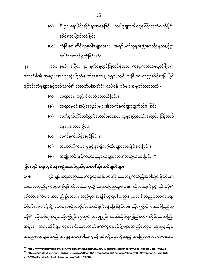၃၀။ ငြိမ်းချမ်းရေးတည်ဆောက်မှုလုပ်ငန်းများကို ဆောင်ရွက်သည့်အခါတွင် နိုင်ငံရေး သဘောတူညီချက်များရရှိရန် လိုအပ်သကဲ့သို့ ဒေသခံပြည်သူများ၏ လိုအပ်ချက်နှင့် ၄င်းတို့၏ လိုလားချက်များအား ညှိနှိုင်းပေးရသည်မှာ အချိန်ယူရပါသည်။ သာမန်တည်ဆောက်ရေး စီမံကိန်းများကဲ့သို့ လုပ်ငန်းစဉ်အလိုက်ဆောင်ရွက်ရန်မဖြစ်နိုင်ပေ။ ထို့ကြောင့် ဒေသခံပြည်သူ တို့၏ လိုအပ်ချက်များကိုဖြေရှင်းရာတွင် အလှူရှင်၊ သက်ဆိုင်ရာပြည်နယ်/ တိုင်းဒေသကြီး အစိုးရ၊ သက်ဆိုင်ရာ တိုင်းရင်းသားလက်နက်ကိုင်တပ်ဖွဲ့ များအကြားတွင် သုံးပွင့်ဆိုင် အစည်းဝေးများသည် အလွန်အရေးပါသကဲ့သို့ ၄င်းတို့ပြောဆိုသည့် အကြောင်းအရာများအား

## ငြိမ်းချမ်းရေးလုပ်ငန်းစဉ်ဆောင်ရွက်မှုအပေါ်သုံးသပ်ချက်များ

**.** 

- (စ) အမျိုးသမီးနှင့်ကလေးသူငယ်များအားကာကွယ်ပေးခြင်း။<sup>…</sup>
- (င) အဂတိလိုက်စားမှုနှင့်ဒုစရိုက်ဂိုဏ်းများအားနှိမ်နင်းခြင်း၊
- (ဃ) လက်နက်ထိန်းချုပ်ခြင်း၊
- (ဂ) လက်နက်ကိုင်တပ်ဖွဲ့ဝင်ဟောင်းများအား လူမှုအဖွဲ့အစည်းအတွင်း ပြန်လည် နေရာချထားခြင်း၊
- (ခ) တရားမဝင်အဖွဲ့အစည်းများ၏လက်နက်များဖျက်သိမ်းခြင်း၊
- (က) တရားရေးမဏ္ဍိုင်တည်ဆောက်ခြင်း၊

၂၉။ ၂၀၁၄ ခုနှစ်၊ ဧပြီလ ၂၄ ရက်နေ့တွင်ပြုလုပ်ခဲ့သော ကမ္ဘာ့ကုလသမဂ္ဂလုံခြုံရေး ကောင်စီ၏ အစည်းအဝေးဆုံးဖြတ်ချက်အမှတ်(၂၁၅၁)တွင် လုံခြုံရေးကဏ္ဍဆိုင်ရာပြုပြင် ပြောင်းလဲမှုများနှင့်ပတ်သက်၍ အောက်ပါအတိုင်း လုပ်ငန်းစဉ်များချမှတ်ထားသည်-

- ဆိုင်ရာပြောင်းလဲခြင်း၊ (ဃ) လုံခြုံရေးဆိုင်ရာမူဝါဒများအား အရပ်ဖက်လူမှုအဖွဲ့အစည်းများနှင့်ပူး ပေါင်းဆောင်ရွက်ခြင်း။<sup>၁၅</sup>
- (ဂ) စီးပွားရေးပိုင်းဆိုင်ရာအနေဖြင့် တပ်ဖွဲ့များ၏ငွေကြေးဘတ်ဂျက်ပိုင်း

<sup>&</sup>lt;sup>og</sup> http://www.inclusivesecurity.org/wp-content/uploads/2012/04/46\_security\_sector\_reform.pdf (Access Date 7.9.2018)

<sup>&</sup>lt;sup>o6</sup> [https://issat.dcaf.ch/Learn/Training-Courses/Other-ISSAT-facilitated-SSR-modules/Monday-02-November-2015/UNSCR-](https://issat.dcaf.ch/Learn/Training-Courses/Other-ISSAT-facilitated-SSR-modules/Monday-02-November-2015/UNSCR-2151-2014-Security-Sector-Reform)[2151-2014-Security-Sector-Reform \(](https://issat.dcaf.ch/Learn/Training-Courses/Other-ISSAT-facilitated-SSR-modules/Monday-02-November-2015/UNSCR-2151-2014-Security-Sector-Reform)Access Date 7.9.2018)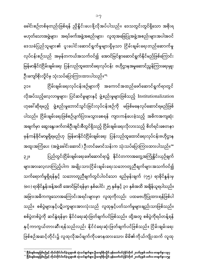**.** 

ခေါင်းစဉ်တစ်ခုတည်းဖြစ်ရန် ညှိနှိုင်းပေးဖို့လိုအပ်ပါသည်။ ဒေသတွင်းတွင်ရှိသော အစိုးရ မဟုတ်သောအဖွဲ့များ၊ အရပ်ဖက်အဖွဲ့အစည်းများ၊ လူထုအခြေပြုအဖွဲ့အစည်းများအပါအဝင် ဒေသခံပြည်သူများ၏ ပူးပေါင်းဆောင်ရွက်မှုများရှိမှသာ ငြိမ်းချမ်းရေးတည်ဆောက်မှု လုပ်ငန်းစဉ်သည် အမှန်တကယ်အသက်ဝင်၍ အောင်မြင်စွာဆောင်ရွက်နိုင်မည်ဖြစ်ကြောင်း မြန်မာနိုင်ငံငြိမ်းချမ်းရေး ပြန်လည်ထူထောင်ရေးလုပ်ငန်း ဗဟိုဌာနအမှုဆောင်ညွှန်ကြားရေးမှူး ဦးကျော်စိုးလှိုင်မှ သုံးသပ်ပြောကြားထားပါသည်။<sup>၁ရ</sup>

၃၁။ ငြိမ်းချမ်းရေးလုပ်ငန်းစဉ်များကို အကောင်အထည်ဖော်ဆောင်ရွက်ရာတွင် လိုအပ်သည့်လေ့လာမှုများ၊ ပြင်ဆင်မှုများနှင့် ဖွဲ့စည်းမှုများဖြစ်သည့် Institutionalization ဟုခေါ် ဆိုရမည့် ဖွဲ့စည်းမှုဘောင်သွင်းခြင်းလုပ်ငန်းစဉ်ကို မဖြစ်မနေလုပ်ဆောင်ရမည်ဖြစ် ပါသည်။ ငြိမ်းချမ်းရေးဖြစ်စဉ်ပျက်ပြားမသွားစေရန် ကျားကန်ပေးခဲ့သည့် အဓိကအကျဆုံး အချက်မှာ ဆွေးနွေးဖက်တစ်ဦးချင်းစီတွင်ရှိသည့် ငြိမ်းချမ်းရေးလိုလားသည့် စိတ်ရင်းစေတနာ မှန်ကန်ခိုင်မာမှုရှိရမည်ဟု မြန်မာနိုင်ငံငြိမ်းချမ်းရေး ပြန်လည်ထူထောင်ရေးလုပ်ငန်းဗဟိုဌာန အထူးအကြံပေး (အဖွဲ့ခေါင်းဆောင်) ဦးတင်မောင်သန်းက သုံးသပ်ပြောကြားထားပါသည်။<sup></sup>" ၃၂။ ပြည်တွင်းငြိမ်းချမ်းရေးဖော်ဆောင်ရာ၌ နိုင်ငံတကာအတွေ့အကြုံနိူင်းယှဉ်ချက် များအားလေ့လာကြည့်ပါက အမျိုးသားငြိမ်းချမ်းရေးသဘောတူညီချက်များအသက်ဝင်၍ သက်ရောက်မှုရှိရန်နှင့် သဘောတူညီချက်တွင်ပါဝင်သော ရည်မှန်းချက် (၇၅) ရာခိုင်နှုန်းမှ (၈၀) ရာခိုင်နှုန်းခန့်အထိ အောင်မြင်ရန်မှာ နှစ်ပေါင်း ၂၅ နှစ်နှင့် ၃၀ နှစ်အထိ အချိန်ယူရပါသည်။ အခြားအဓိကကျသောအကြောင်းအရင်းများမှာ လူထုကိုလည်း ပထမဗဟိုပြုထားရန်ဖြစ်ပါ သည်။ စစ်ပွဲများနှင့်ပဋိပက္ခများအားလုံးသည် လူထုနှင့်ပတ်သက်မှုများချည်းသာဖြစ်သည်။ စစ်ပွဲတစ်ပွဲကို ဆင်နွဲရန်မှာ နိုင်ငံရေးဆုံးဖြတ်ချက်ပင်ဖြစ်သည်။ ထို့အတူ စစ်ပွဲကိုရပ်တန့်ရန် နှင့်ကာကွယ်တားဆီးရန်သည်လည်း နိုင်ငံရေးဆုံးဖြတ်ချက်ပင်ဖြစ်သည်။ ငြိမ်းချမ်းရေး ဖြစ်စဉ်အဆင့်တိုင်း၌ လူထုလိုအပ်ချက်ကိုပဓာနထားသော၊ မိမိ၏ကိုယ်ကျိုးထက် လူထု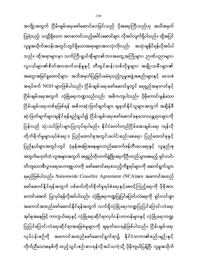အကျိုးအတွက် ငြိမ်းချမ်းရေးဖော်ဆောင်ပေးခြင်းသည် ပိုအရေးကြီးသည်ဟု အသိအမှတ် ပြုရဲသည့်၊ သတ္တိရှိသော၊ အားကောင်းသည့်ခေါင်းဆောင်များ လိုအပ်လျက်ရှိပါသည်။ ထို့အပြင် လူမှုအသိုက်အဝန်းအတွင်းတွင်ရှိသောအရာများအားလုံးကိုလည်း အသုံးချနိုင်ရန်လိုအပ်ပါ သည်။ ထိုအရာများမှာ သက်ကြီးရွယ်အိုများ၏ဘဝအတွေ့အကြုံများ၊ ဉာဏ်ပညာများ၊ လူငယ်များ၏စိတ်အားထက်သန်မှုနှင့် တီထွင်ဆန်းသစ်လိုမှုများ၊ အမျိုးသမီးများ၏ အတွေးအမြင်ရှုထောင့်များ၊ အသိအမှတ်ပြုခြင်းမခံရသည့်လူမှုအဖွဲ့အစည်းများနှင့် ဒေသခံ အရပ်ဖက် NGO များဖြစ်ပါသည်။ ငြိမ်းချမ်းရေးဖော်ဆောင်မှုတွင် ရေရှည်အနာဂတ်နှင့် ငြိမ်းချမ်းရေးအတွက် လုံခြုံရေးကဏ္ဍသည်လည်း အဓိကကျပါသည်။ ပိုမိုကောင်းမွန်သော ငြိမ်းချမ်းရေးတစ်ခုဖြစ်ရန် အဓိကဆုံးဖြတ်ချက်များ ချမှတ်နိုင်သူများအတွက် အချိန်မီ ĺ ဆုံးဖြတ်ချက်များချနိုင်ရန်ရည်ရွယ်၍ ငြိမ်းချမ်းရေးဖော်ဆောင်နေသောယန္တရားများကို ပြန်လည် သုံးသပ်ခြင်းများပြုလုပ်ရပါမည်။ နိုင်ငံတော်တည်ငြိမ်အေးချမ်းရေး (ရန်လို တိုက်ခိုက်မှုများရပ်စဲရေး )၊ ပြည်ထောင်စုအတွင်းပေါင်းစည်းစေရေး၊ ပြည်ထောင်စုနှင့် ပြည်နယ်များအတွင်းတွင် ပုံမှန်အခြေအနေများတည်ဆောက်ဖန်တီးပေးရေးနှင့် လူနည်းစု အတွက်မဟုတ်ဘဲ လူအများအတွက် ရေရှည်တိုးတက်ဖွံ့ဖြိုးရေးကိုဦးတည်သွားစေမည့် ရှင်းလင်း တိကျသောစီးပွားရေးမဟာဗျူဟာကို ဖော်ဆောင်ရေးစသည့်ကိစ္စရပ်များကို ဆောင်ရွက်သွား ရမည်ဖြစ်ပါသည်။ Nationwide Ceasefire Agreement (NCA)အား အကောင်အထည် ဖော်ဆောင်နိုင်ရန်အတွက် ပစ်ခတ်တိုက်ခိုက်မှုရပ်စဲရေးနှင့်စောင့်ကြည့်ရေးကို ပိုမိုအား ကောင်းအောင် ပြုလုပ်ရန်လိုအပ်ပါသည်။ လုံခြုံရေးကဏ္ဍပြုပြင်ပြောင်းလဲရေးကို ရှင်းလင်းစွာ အကောင်အထည်ဖော်ဆောင်နိုင်ရန်အတွက် လက်ရှိလုံခြုံရေးကဏ္ဍပြုပြင်ပြောင်းလဲရေး အုပ်စုအနေဖြင့် ကာကွယ်ရေးနှင့် လုံခြုံရေးဆိုင်ရာလုပ်ငန်းတာဝန်များနှင့် လုံခြုံရေးကဏ္ဍ ပြုပြင်ပြောင်းလဲရေးဆိုင်ရာအခြေခံမူများကို ချမှတ်ပေးရန်ဖြစ်ပါသည်။ ငြိမ်းချမ်းရေး လုပ်ငန်းစဉ်ကို အကောင်အထည်ဖော်ဆောင်ရွက်ရာ၌ နိုင်ငံတကာ၏စည်းမျဉ်းနှင့် ကိုက်ညီသောစနစ်ကို ထည့်သွင်းစဉ်းစားရန်လိုအပ်သကဲ့သို့ ပိုမိုကျယ်ပြန့်ပြီး လူမှုအသိုက်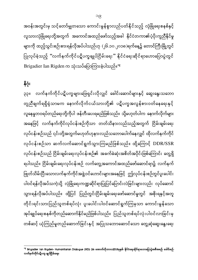အဝန်းအတွင်းမှ သင့်တော်မျှတသော ကောင်းမွန်စွာလည်ပတ်နိုင်သည့် လုံခြုံရေးစနစ်နှင့် လူသားလုံခြုံရေးတို့အတွက် အကောင်အထည်ဖော်သည့်အခါ နိုင်ငံတကာ၏ပံ့ပိုးကူညီနိုင်မှု များကို ထည့်သွင်းစဉ်းစားရန်လိုအပ်ပါသည်ဟု (၂၆.၁၀.၂၀၁၈)ရက်နေ့၌ တောင်ကြီးမြို့တွင် ပြုလုပ်ခဲ့သည့် "လက်နက်ကိုင်ပဋိပက္ခချုပ်ငြိမ်းရေး" နိုင်ငံရေးဆိုင်ရာဟောပြောပွဲတွင် Brigadier Ian Rigden က သုံးသပ်ပြောကြားခဲ့ပါသည်။ $^{\circ e}$ 

နိဂုံး

၃၃။ လက်နက်ကိုင်ပဋိပက္ခများဖြေရှင်းလိုလျှင် ခေါင်းဆောင်များနှင့် ဆွေးနွေးသဘော တူညီချက်ရရှိရုံသာမက နောက်လိုက်ငယ်သားတို့၏ ပဋိပက္ခအလွန်စားဝတ်နေရေးနှင့် လူနေမှုဘဝရပ်တည်ရေးတို့ကိုပါ ဖန်တီးပေးရမည်ဖြစ်သည်။ သို့မဟုတ်ပါက နောက်လိုက်များ အနေဖြင့် လက်နက်ကိုင်လုပ်ငန်းစဉ်ကိုသာ တတ်သိနားလည်သည့်အတွက် ငြိမ်းချမ်းရေး လုပ်ငန်းစဉ်သည် ၎င်းတို့အတွက်မဟုတ်ဟုနားလည်သဘောပေါက်နေလျှင် ထိုလက်နက်ကိုင် လုပ်ငန်းစဉ်သာ ဆက်လက်ဆောင်ရွက်သွားကြမည်ဖြစ်သည်။ ထို့ကြောင့် DDR/SSR လုပ်ငန်းစဉ်သည် ငြိမ်းချမ်းရေးလုပ်ငန်းစဉ်၏ အခက်ခဲဆုံးအစိတ်အပိုင်းဖြစ်ကြောင်း တွေ့ရှိ ရပါသည်။ ငြိမ်းချမ်းရေးလုပ်ငန်းစဉ် လက်တွေ့အကောင်အထည်ဖော်ဆောင်ရာ၌ လက်နက် ဖြုတ်သိမ်းပြီးသောလက်နက်ကိုင်အဖွဲ့ဝင်ဟောင်းများအနေဖြင့် ဤလုပ်ငန်းစဉ်တွင်ပူးပေါင်း ပါဝင်ရန်လိုအပ်သကဲ့သို့ လုံခြုံရေးကဏ္ဍဆိုင်ရာပြုပြင်ပြောင်းလဲခြင်းများလည်း လုပ်ဆောင် သွားရန်လိုအပ်ပါသည်။ ထို့ပြင် ပြည်တွင်းငြိမ်းချမ်းရေးဖော်ဆောင်မှုတွင် အစိုးရနှင့်အတူ တိုင်းရင်းသားပြည်သူတစ်ရပ်လုံး ပူးပေါင်းပါဝင်ဆောင်ရွက်ကြမှသာ ကောင်းမွန်သော အုပ်ချုပ်ရေးစနစ်ကိုတည်ဆောက်နိုင်မည်ဖြစ်ပါသည်။ ပြည်သူတစ်ရပ်လုံးပါဝင်လာခြင်းမှ တစ်ဆင့် ယုံကြည်မှုတည်ဆောက်ခြင်းနှင့် အပြုသဘောဆောင်သော တွေ့ဆုံဆွေးနွေးရေး

 19 Brigadier Ian Rigden- Humanitarian Dialogue (HD) 26 2018 - လက်နက်ကိုင်ပဋိပက္ခ ချုပ်ငြိမ်းရေး၊